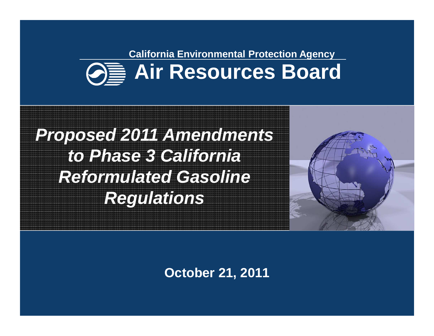#### **California Environmental Protection Agency** $\Omega$ **Air Resources Board**

## **Proposed 2011 Amendments to Phase 3 California Reformulated Gasoline Regulations**



**October 21, 2011**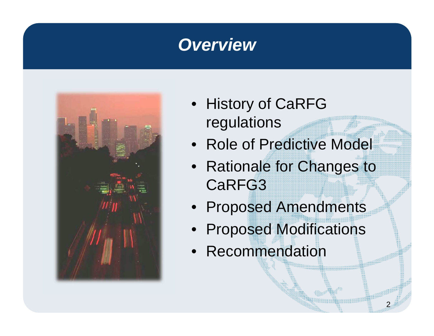### **Overview**



- History of CaRFGregulations
- Role of Predictive Model
- Rationale for Changes to CaRFG3
- Proposed Amendments
- Proposed Modifications
- Recommendation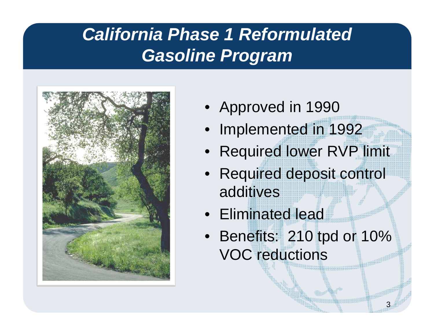## **California Phase 1 Reformulated Gasoline Program**



- Approved in 1990
- •Implemented in 1992
- $\bullet$ Required lower RVP limit
- Required deposit control additives
- Eliminated lead
- Benefits: 210 tpd or 10% VOC reductions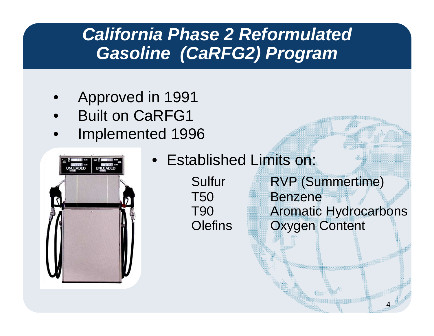#### **California Phase 2 Reformulated Gasoline (CaRFG2) Program**

- •Approved in 1991
- Built on CaRFG1•
- Implemented 1996•



 $\bullet$  Established Limits on: Sulfur RVP (Summertime) T50 **Benzene** 

 T90 Aromatic HydrocarbonsOlefins Oxygen Content

4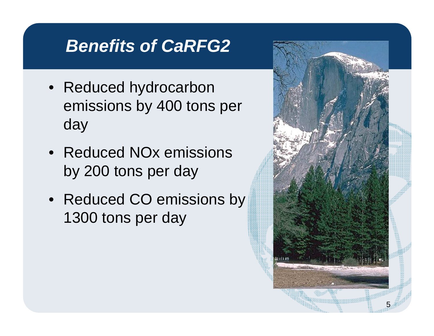### **Benefits of CaRFG2**

- Reduced hydrocarbon emissions by 400 tons per day
- Reduced NOx emissions by 200 tons per day
- Reduced CO emissions by  $\mid$ 1300 tons per day

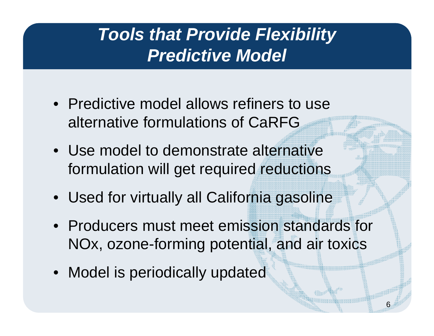## **Tools that Provide FlexibilityPredictive Model**

- Predictive model allows refiners to use alternative formulations of CaRFG
- Use model to demonstrate alternative formulation will get required reductions
- Used for virtually all California gasoline
- Producers must meet emission standards for NOx, ozone-forming potential, and air toxics
- Model is periodically updated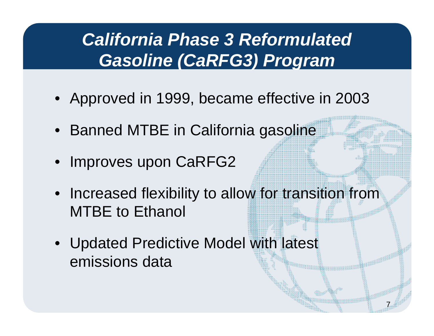## **California Phase 3 Reformulated Gasoline (CaRFG3) Program**

- Approved in 1999, became effective in 2003
- Banned MTBE in California gasoline
- Improves upon CaRFG2
- Increased flexibility to allow for transition fromMTBE to Ethanol
- Updated Predictive Model with latest emissions data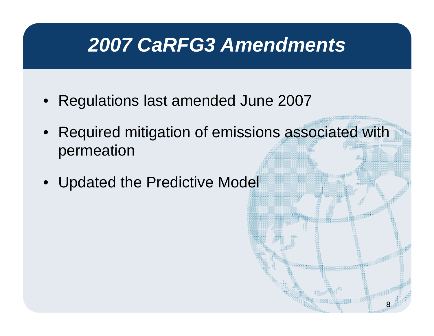# **2007 CaRFG3 Amendments**

- Regulations last amended June 2007
- Required mitigation of emissions associated with permeation

8

• Updated the Predictive Model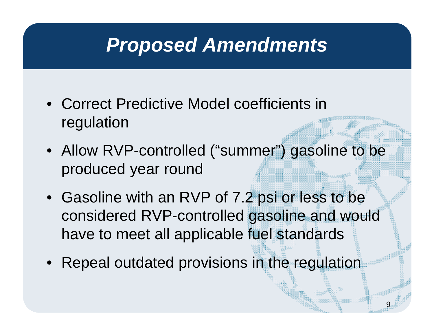# **Proposed Amendments**

- Correct Predictive Model coefficients in regulation
- Allow RVP-controlled ("summer") gasoline to be produced year round
- Gasoline with an RVP of 7.2 psi or less to be considered RVP-controlled gasoline and would have to meet all applicable fuel standards
- Repeal outdated provisions in the regulation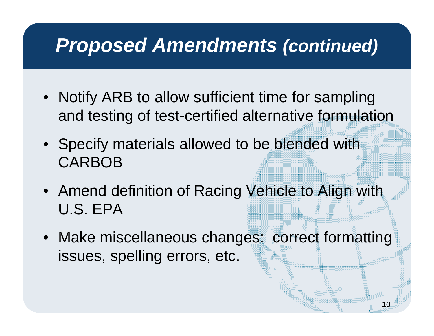# **Proposed Amendments (continued)**

- Notify ARB to allow sufficient time for sampling and testing of test-certified alternative formulation
- Specify materials allowed to be blended with CARBOB
- Amend definition of Racing Vehicle to Align with U.S. EPA
- Make miscellaneous changes: correct formatting issues, spelling errors, etc.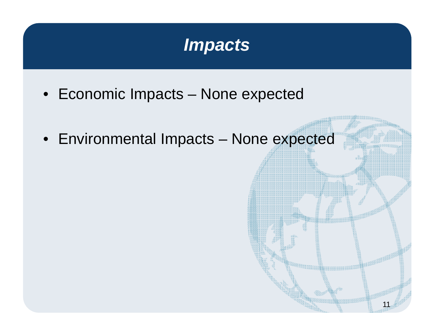#### **Impacts**

11

- Economic Impacts None expected
- Environmental Impacts None expected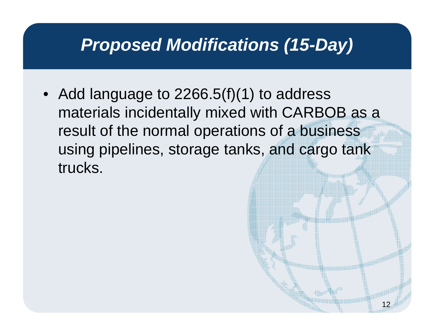#### **Proposed Modifications (15-Day)**

• Add language to 2266.5(f)(1) to address materials incidentally mixed with CARBOB as a result of the normal operations of a business using pipelines, storage tanks, and cargo tank trucks.